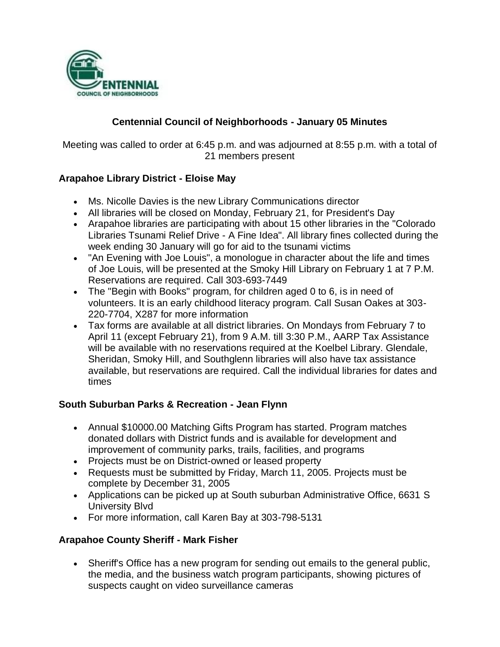

## **Centennial Council of Neighborhoods - January 05 Minutes**

Meeting was called to order at 6:45 p.m. and was adjourned at 8:55 p.m. with a total of 21 members present

## **Arapahoe Library District - Eloise May**

- Ms. Nicolle Davies is the new Library Communications director
- All libraries will be closed on Monday, February 21, for President's Day
- Arapahoe libraries are participating with about 15 other libraries in the "Colorado Libraries Tsunami Relief Drive - A Fine Idea". All library fines collected during the week ending 30 January will go for aid to the tsunami victims
- "An Evening with Joe Louis", a monologue in character about the life and times of Joe Louis, will be presented at the Smoky Hill Library on February 1 at 7 P.M. Reservations are required. Call 303-693-7449
- The "Begin with Books" program, for children aged 0 to 6, is in need of volunteers. It is an early childhood literacy program. Call Susan Oakes at 303- 220-7704, X287 for more information
- Tax forms are available at all district libraries. On Mondays from February 7 to April 11 (except February 21), from 9 A.M. till 3:30 P.M., AARP Tax Assistance will be available with no reservations required at the Koelbel Library. Glendale, Sheridan, Smoky Hill, and Southglenn libraries will also have tax assistance available, but reservations are required. Call the individual libraries for dates and times

## **South Suburban Parks & Recreation - Jean Flynn**

- Annual \$10000.00 Matching Gifts Program has started. Program matches donated dollars with District funds and is available for development and improvement of community parks, trails, facilities, and programs
- Projects must be on District-owned or leased property
- Requests must be submitted by Friday, March 11, 2005. Projects must be complete by December 31, 2005
- Applications can be picked up at South suburban Administrative Office, 6631 S University Blvd
- For more information, call Karen Bay at 303-798-5131

#### **Arapahoe County Sheriff - Mark Fisher**

 Sheriff's Office has a new program for sending out emails to the general public, the media, and the business watch program participants, showing pictures of suspects caught on video surveillance cameras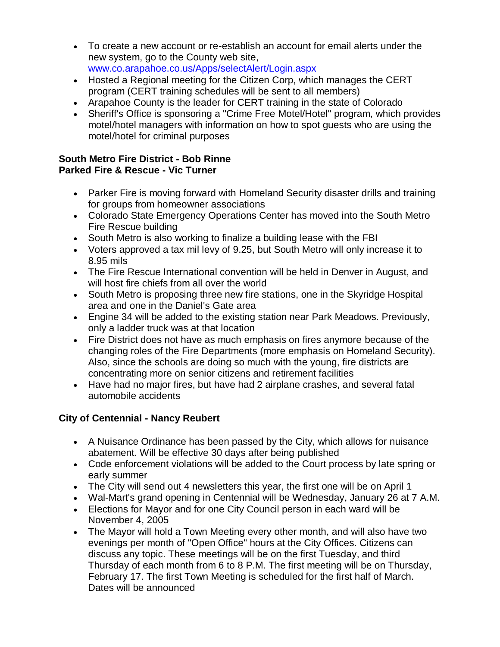- To create a new account or re-establish an account for email alerts under the new system, go to the County web site, www.co.arapahoe.co.us/Apps/selectAlert/Login.aspx
- Hosted a Regional meeting for the Citizen Corp, which manages the CERT program (CERT training schedules will be sent to all members)
- Arapahoe County is the leader for CERT training in the state of Colorado
- Sheriff's Office is sponsoring a "Crime Free Motel/Hotel" program, which provides motel/hotel managers with information on how to spot guests who are using the motel/hotel for criminal purposes

### **South Metro Fire District - Bob Rinne Parked Fire & Rescue - Vic Turner**

- Parker Fire is moving forward with Homeland Security disaster drills and training for groups from homeowner associations
- Colorado State Emergency Operations Center has moved into the South Metro Fire Rescue building
- South Metro is also working to finalize a building lease with the FBI
- Voters approved a tax mil levy of 9.25, but South Metro will only increase it to 8.95 mils
- The Fire Rescue International convention will be held in Denver in August, and will host fire chiefs from all over the world
- South Metro is proposing three new fire stations, one in the Skyridge Hospital area and one in the Daniel's Gate area
- Engine 34 will be added to the existing station near Park Meadows. Previously, only a ladder truck was at that location
- Fire District does not have as much emphasis on fires anymore because of the changing roles of the Fire Departments (more emphasis on Homeland Security). Also, since the schools are doing so much with the young, fire districts are concentrating more on senior citizens and retirement facilities
- Have had no major fires, but have had 2 airplane crashes, and several fatal automobile accidents

# **City of Centennial - Nancy Reubert**

- A Nuisance Ordinance has been passed by the City, which allows for nuisance abatement. Will be effective 30 days after being published
- Code enforcement violations will be added to the Court process by late spring or early summer
- The City will send out 4 newsletters this year, the first one will be on April 1
- Wal-Mart's grand opening in Centennial will be Wednesday, January 26 at 7 A.M.
- Elections for Mayor and for one City Council person in each ward will be November 4, 2005
- The Mayor will hold a Town Meeting every other month, and will also have two evenings per month of "Open Office" hours at the City Offices. Citizens can discuss any topic. These meetings will be on the first Tuesday, and third Thursday of each month from 6 to 8 P.M. The first meeting will be on Thursday, February 17. The first Town Meeting is scheduled for the first half of March. Dates will be announced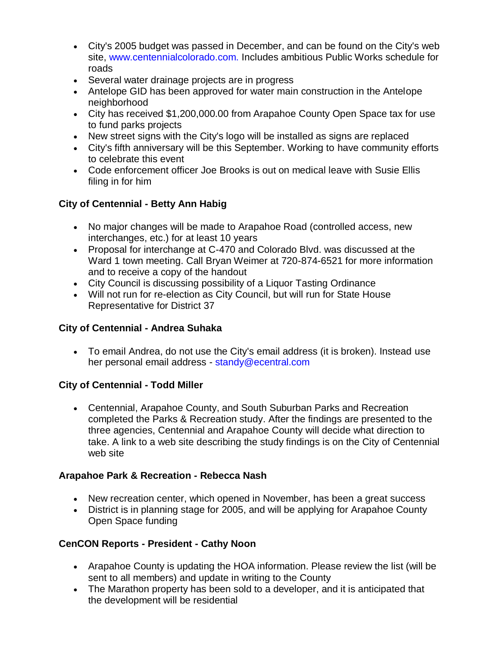- City's 2005 budget was passed in December, and can be found on the City's web site, www.centennialcolorado.com. Includes ambitious Public Works schedule for roads
- Several water drainage projects are in progress
- Antelope GID has been approved for water main construction in the Antelope neighborhood
- City has received \$1,200,000.00 from Arapahoe County Open Space tax for use to fund parks projects
- New street signs with the City's logo will be installed as signs are replaced
- City's fifth anniversary will be this September. Working to have community efforts to celebrate this event
- Code enforcement officer Joe Brooks is out on medical leave with Susie Ellis filing in for him

# **City of Centennial - Betty Ann Habig**

- No major changes will be made to Arapahoe Road (controlled access, new interchanges, etc.) for at least 10 years
- Proposal for interchange at C-470 and Colorado Blvd. was discussed at the Ward 1 town meeting. Call Bryan Weimer at 720-874-6521 for more information and to receive a copy of the handout
- City Council is discussing possibility of a Liquor Tasting Ordinance
- Will not run for re-election as City Council, but will run for State House Representative for District 37

## **City of Centennial - Andrea Suhaka**

 To email Andrea, do not use the City's email address (it is broken). Instead use her personal email address - standy@ecentral.com

## **City of Centennial - Todd Miller**

 Centennial, Arapahoe County, and South Suburban Parks and Recreation completed the Parks & Recreation study. After the findings are presented to the three agencies, Centennial and Arapahoe County will decide what direction to take. A link to a web site describing the study findings is on the City of Centennial web site

# **Arapahoe Park & Recreation - Rebecca Nash**

- New recreation center, which opened in November, has been a great success
- District is in planning stage for 2005, and will be applying for Arapahoe County Open Space funding

# **CenCON Reports - President - Cathy Noon**

- Arapahoe County is updating the HOA information. Please review the list (will be sent to all members) and update in writing to the County
- The Marathon property has been sold to a developer, and it is anticipated that the development will be residential